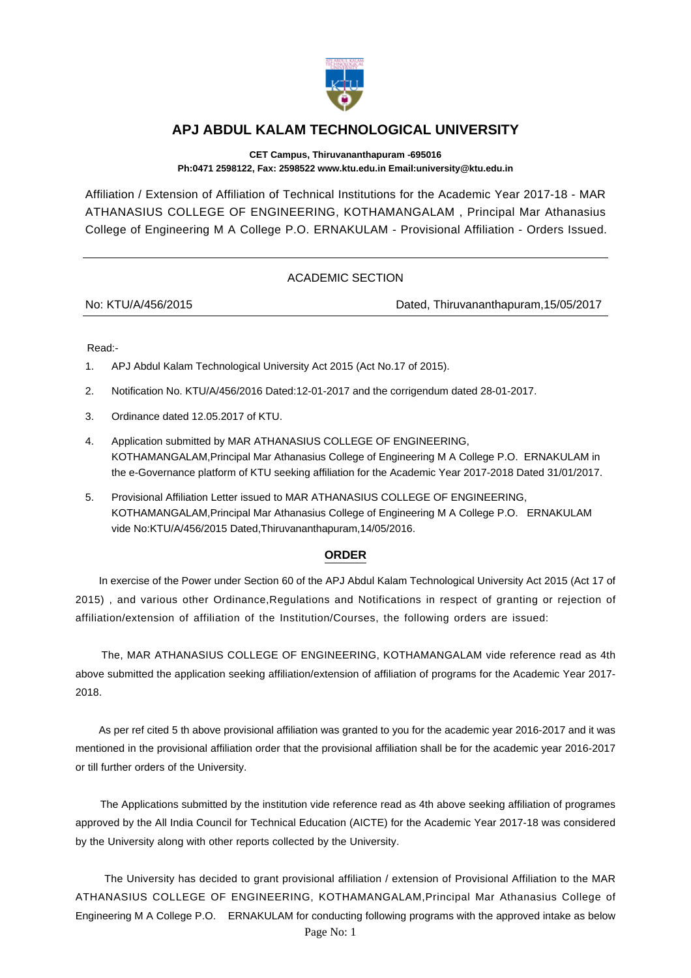

## **APJ ABDUL KALAM TECHNOLOGICAL UNIVERSITY**

**CET Campus, Thiruvananthapuram -695016 Ph:0471 2598122, Fax: 2598522 www.ktu.edu.in Email:university@ktu.edu.in**

Affiliation / Extension of Affiliation of Technical Institutions for the Academic Year 2017-18 - MAR ATHANASIUS COLLEGE OF ENGINEERING, KOTHAMANGALAM , Principal Mar Athanasius College of Engineering M A College P.O. ERNAKULAM - Provisional Affiliation - Orders Issued.

## ACADEMIC SECTION

No: KTU/A/456/2015 Dated, Thiruvananthapuram,15/05/2017

Read:-

- 1. APJ Abdul Kalam Technological University Act 2015 (Act No.17 of 2015).
- 2. Notification No. KTU/A/456/2016 Dated:12-01-2017 and the corrigendum dated 28-01-2017.
- 3. Ordinance dated 12.05.2017 of KTU.
- 4. Application submitted by MAR ATHANASIUS COLLEGE OF ENGINEERING, KOTHAMANGALAM,Principal Mar Athanasius College of Engineering M A College P.O. ERNAKULAM in the e-Governance platform of KTU seeking affiliation for the Academic Year 2017-2018 Dated 31/01/2017.
- 5. Provisional Affiliation Letter issued to MAR ATHANASIUS COLLEGE OF ENGINEERING, KOTHAMANGALAM,Principal Mar Athanasius College of Engineering M A College P.O. ERNAKULAM vide No:KTU/A/456/2015 Dated,Thiruvananthapuram,14/05/2016.

## **ORDER**

 In exercise of the Power under Section 60 of the APJ Abdul Kalam Technological University Act 2015 (Act 17 of 2015) , and various other Ordinance,Regulations and Notifications in respect of granting or rejection of affiliation/extension of affiliation of the Institution/Courses, the following orders are issued:

 The, MAR ATHANASIUS COLLEGE OF ENGINEERING, KOTHAMANGALAM vide reference read as 4th above submitted the application seeking affiliation/extension of affiliation of programs for the Academic Year 2017- 2018.

 As per ref cited 5 th above provisional affiliation was granted to you for the academic year 2016-2017 and it was mentioned in the provisional affiliation order that the provisional affiliation shall be for the academic year 2016-2017 or till further orders of the University.

 The Applications submitted by the institution vide reference read as 4th above seeking affiliation of programes approved by the All India Council for Technical Education (AICTE) for the Academic Year 2017-18 was considered by the University along with other reports collected by the University.

 The University has decided to grant provisional affiliation / extension of Provisional Affiliation to the MAR ATHANASIUS COLLEGE OF ENGINEERING, KOTHAMANGALAM,Principal Mar Athanasius College of Engineering M A College P.O. ERNAKULAM for conducting following programs with the approved intake as below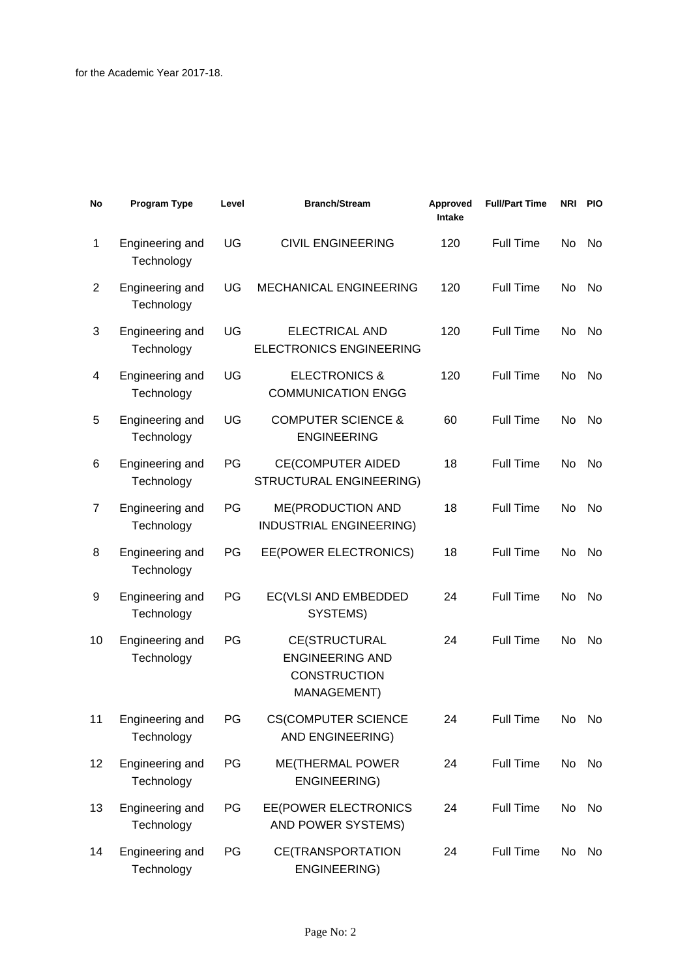| No | Program Type                  | Level | <b>Branch/Stream</b>                                                          | Approved<br><b>Intake</b> | <b>Full/Part Time</b> | <b>NRI</b> | <b>PIO</b> |
|----|-------------------------------|-------|-------------------------------------------------------------------------------|---------------------------|-----------------------|------------|------------|
| 1  | Engineering and<br>Technology | UG    | <b>CIVIL ENGINEERING</b>                                                      | 120                       | <b>Full Time</b>      | No         | No         |
| 2  | Engineering and<br>Technology | UG    | MECHANICAL ENGINEERING                                                        | 120                       | Full Time             | No.        | No         |
| 3  | Engineering and<br>Technology | UG    | ELECTRICAL AND<br><b>ELECTRONICS ENGINEERING</b>                              | 120                       | Full Time             | No         | No.        |
| 4  | Engineering and<br>Technology | UG    | <b>ELECTRONICS &amp;</b><br><b>COMMUNICATION ENGG</b>                         | 120                       | <b>Full Time</b>      | No         | No         |
| 5  | Engineering and<br>Technology | UG    | <b>COMPUTER SCIENCE &amp;</b><br><b>ENGINEERING</b>                           | 60                        | Full Time             | No         | No         |
| 6  | Engineering and<br>Technology | PG    | <b>CE(COMPUTER AIDED</b><br>STRUCTURAL ENGINEERING)                           | 18                        | Full Time             | No.        | No.        |
| 7  | Engineering and<br>Technology | PG    | ME(PRODUCTION AND<br>INDUSTRIAL ENGINEERING)                                  | 18                        | <b>Full Time</b>      | No         | No         |
| 8  | Engineering and<br>Technology | PG    | EE(POWER ELECTRONICS)                                                         | 18                        | Full Time             | No         | No         |
| 9  | Engineering and<br>Technology | PG    | EC(VLSI AND EMBEDDED<br>SYSTEMS)                                              | 24                        | Full Time             | No.        | No.        |
| 10 | Engineering and<br>Technology | PG    | CE(STRUCTURAL<br><b>ENGINEERING AND</b><br><b>CONSTRUCTION</b><br>MANAGEMENT) | 24                        | <b>Full Time</b>      | No         | No         |
| 11 | Engineering and<br>Technology | PG    | <b>CS(COMPUTER SCIENCE</b><br>AND ENGINEERING)                                | 24                        | Full Time             | No         | No         |
| 12 | Engineering and<br>Technology | PG    | <b>ME(THERMAL POWER</b><br>ENGINEERING)                                       | 24                        | Full Time             | No         | No         |
| 13 | Engineering and<br>Technology | PG    | EE(POWER ELECTRONICS<br>AND POWER SYSTEMS)                                    | 24                        | Full Time             | No         | No         |
| 14 | Engineering and<br>Technology | PG    | <b>CE(TRANSPORTATION</b><br>ENGINEERING)                                      | 24                        | Full Time             | No         | No         |